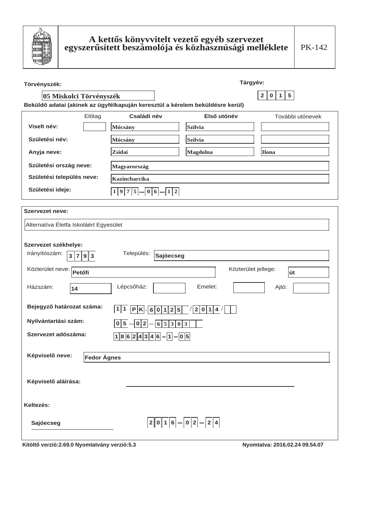

## A kettős könyvvitelt vezető egyéb szervezet<br>egyszerűsített beszámolója és közhasznúsági melléklete

| 2 0 1<br>5<br>05 Miskolci Törvényszék<br>Beküldő adatai (akinek az ügyfélkapuján keresztül a kérelem beküldésre kerül)<br>Előtag<br>Családi név<br>Első utónév<br>További utónevek<br>Viselt név:<br><b>Szilvia</b><br>Mócsány<br>Születési név:<br><b>Szilvia</b><br>Mócsány<br>Zsidai<br><b>Magdolna</b><br>Anyja neve:<br><b>Ilona</b><br>Születési ország neve:<br><b>Magyarország</b><br>Születési település neve:<br>Kazincbarcika<br>Születési ideje:<br>$1 9 7 5 $ - $0 6 $ - $1 2 $<br><b>Szervezet neve:</b><br>Alternatíva Életfa Iskoláért Egyesület<br>Szervezet székhelye:<br>Irányítószám:<br>Település:<br>3 <sup>1</sup><br>7 9 3<br>Sajóecseg<br>Közterület neve: Petőfi<br>Közterület jellege:<br> út<br>Lépcsőház:<br>Emelet:<br>Házszám:<br>Ajtó:<br>14<br>Bejegyző határozat száma:<br>$11$ $P$ $K \cdot 60125$ /2014/<br>Nyilvántartási szám:<br>$\boxed{0}$ 5 - $\boxed{0}$ 2 - 6 5 3 0 3<br>Szervezet adószáma:<br>$18624346-1-05$<br>Képviselő neve:<br><b>Fedor Ágnes</b><br>Képviselő aláírása:<br>Keltezés:<br>$-2 4$<br>2 0 1 6<br>- 0 2 -<br>Sajóecseg | Törvényszék: |  | Tárgyév: |  |
|---------------------------------------------------------------------------------------------------------------------------------------------------------------------------------------------------------------------------------------------------------------------------------------------------------------------------------------------------------------------------------------------------------------------------------------------------------------------------------------------------------------------------------------------------------------------------------------------------------------------------------------------------------------------------------------------------------------------------------------------------------------------------------------------------------------------------------------------------------------------------------------------------------------------------------------------------------------------------------------------------------------------------------------------------------------------------------------|--------------|--|----------|--|
|                                                                                                                                                                                                                                                                                                                                                                                                                                                                                                                                                                                                                                                                                                                                                                                                                                                                                                                                                                                                                                                                                       |              |  |          |  |
|                                                                                                                                                                                                                                                                                                                                                                                                                                                                                                                                                                                                                                                                                                                                                                                                                                                                                                                                                                                                                                                                                       |              |  |          |  |
|                                                                                                                                                                                                                                                                                                                                                                                                                                                                                                                                                                                                                                                                                                                                                                                                                                                                                                                                                                                                                                                                                       |              |  |          |  |
|                                                                                                                                                                                                                                                                                                                                                                                                                                                                                                                                                                                                                                                                                                                                                                                                                                                                                                                                                                                                                                                                                       |              |  |          |  |
|                                                                                                                                                                                                                                                                                                                                                                                                                                                                                                                                                                                                                                                                                                                                                                                                                                                                                                                                                                                                                                                                                       |              |  |          |  |
|                                                                                                                                                                                                                                                                                                                                                                                                                                                                                                                                                                                                                                                                                                                                                                                                                                                                                                                                                                                                                                                                                       |              |  |          |  |
|                                                                                                                                                                                                                                                                                                                                                                                                                                                                                                                                                                                                                                                                                                                                                                                                                                                                                                                                                                                                                                                                                       |              |  |          |  |
|                                                                                                                                                                                                                                                                                                                                                                                                                                                                                                                                                                                                                                                                                                                                                                                                                                                                                                                                                                                                                                                                                       |              |  |          |  |
|                                                                                                                                                                                                                                                                                                                                                                                                                                                                                                                                                                                                                                                                                                                                                                                                                                                                                                                                                                                                                                                                                       |              |  |          |  |
|                                                                                                                                                                                                                                                                                                                                                                                                                                                                                                                                                                                                                                                                                                                                                                                                                                                                                                                                                                                                                                                                                       |              |  |          |  |
|                                                                                                                                                                                                                                                                                                                                                                                                                                                                                                                                                                                                                                                                                                                                                                                                                                                                                                                                                                                                                                                                                       |              |  |          |  |
|                                                                                                                                                                                                                                                                                                                                                                                                                                                                                                                                                                                                                                                                                                                                                                                                                                                                                                                                                                                                                                                                                       |              |  |          |  |
|                                                                                                                                                                                                                                                                                                                                                                                                                                                                                                                                                                                                                                                                                                                                                                                                                                                                                                                                                                                                                                                                                       |              |  |          |  |
|                                                                                                                                                                                                                                                                                                                                                                                                                                                                                                                                                                                                                                                                                                                                                                                                                                                                                                                                                                                                                                                                                       |              |  |          |  |
|                                                                                                                                                                                                                                                                                                                                                                                                                                                                                                                                                                                                                                                                                                                                                                                                                                                                                                                                                                                                                                                                                       |              |  |          |  |
|                                                                                                                                                                                                                                                                                                                                                                                                                                                                                                                                                                                                                                                                                                                                                                                                                                                                                                                                                                                                                                                                                       |              |  |          |  |
|                                                                                                                                                                                                                                                                                                                                                                                                                                                                                                                                                                                                                                                                                                                                                                                                                                                                                                                                                                                                                                                                                       |              |  |          |  |
|                                                                                                                                                                                                                                                                                                                                                                                                                                                                                                                                                                                                                                                                                                                                                                                                                                                                                                                                                                                                                                                                                       |              |  |          |  |
|                                                                                                                                                                                                                                                                                                                                                                                                                                                                                                                                                                                                                                                                                                                                                                                                                                                                                                                                                                                                                                                                                       |              |  |          |  |
|                                                                                                                                                                                                                                                                                                                                                                                                                                                                                                                                                                                                                                                                                                                                                                                                                                                                                                                                                                                                                                                                                       |              |  |          |  |
|                                                                                                                                                                                                                                                                                                                                                                                                                                                                                                                                                                                                                                                                                                                                                                                                                                                                                                                                                                                                                                                                                       |              |  |          |  |
|                                                                                                                                                                                                                                                                                                                                                                                                                                                                                                                                                                                                                                                                                                                                                                                                                                                                                                                                                                                                                                                                                       |              |  |          |  |
|                                                                                                                                                                                                                                                                                                                                                                                                                                                                                                                                                                                                                                                                                                                                                                                                                                                                                                                                                                                                                                                                                       |              |  |          |  |
|                                                                                                                                                                                                                                                                                                                                                                                                                                                                                                                                                                                                                                                                                                                                                                                                                                                                                                                                                                                                                                                                                       |              |  |          |  |

Kitöltő verzió: 2.69.0 Nyomtatvány verzió: 5.3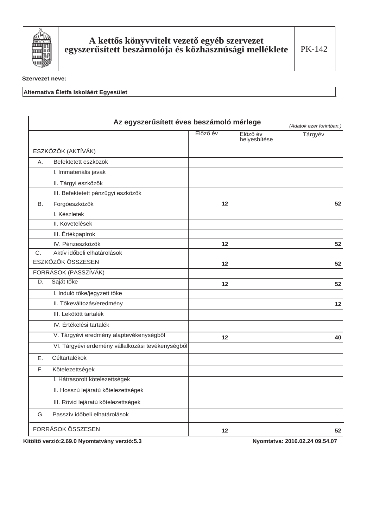

# A kettős könyvvitelt vezető egyéb szervezet<br>egyszerűsített beszámolója és közhasznúsági melléklete

#### Szervezet neve:

Alternatíva Életfa Iskoláért Egyesület

| Az egyszerűsített éves beszámoló mérlege<br>(Adatok ezer forintban.) |                                                   |          |                          |         |  |  |
|----------------------------------------------------------------------|---------------------------------------------------|----------|--------------------------|---------|--|--|
|                                                                      |                                                   | Előző év | Előző év<br>helyesbítése | Tárgyév |  |  |
|                                                                      | ESZKÖZÖK (AKTÍVÁK)                                |          |                          |         |  |  |
| A.                                                                   | Befektetett eszközök                              |          |                          |         |  |  |
|                                                                      | I. Immateriális javak                             |          |                          |         |  |  |
|                                                                      | II. Tárgyi eszközök                               |          |                          |         |  |  |
|                                                                      | III. Befektetett pénzügyi eszközök                |          |                          |         |  |  |
| <b>B.</b>                                                            | Forgóeszközök                                     | 12       |                          | 52      |  |  |
|                                                                      | I. Készletek                                      |          |                          |         |  |  |
|                                                                      | II. Követelések                                   |          |                          |         |  |  |
|                                                                      | III. Értékpapírok                                 |          |                          |         |  |  |
|                                                                      | IV. Pénzeszközök                                  | 12       |                          | 52      |  |  |
| C.                                                                   | Aktív időbeli elhatárolások                       |          |                          |         |  |  |
|                                                                      | ESZKÖZÖK ÖSSZESEN                                 | 12       |                          | 52      |  |  |
|                                                                      | FORRÁSOK (PASSZÍVÁK)                              |          |                          |         |  |  |
| D.                                                                   | Saját tőke                                        | 12       |                          | 52      |  |  |
|                                                                      | I. Induló tőke/jegyzett tőke                      |          |                          |         |  |  |
|                                                                      | II. Tőkeváltozás/eredmény                         |          |                          | 12      |  |  |
|                                                                      | III. Lekötött tartalék                            |          |                          |         |  |  |
|                                                                      | IV. Értékelési tartalék                           |          |                          |         |  |  |
|                                                                      | V. Tárgyévi eredmény alaptevékenységből           | 12       |                          | 40      |  |  |
|                                                                      | VI. Tárgyévi erdemény vállalkozási tevékenységből |          |                          |         |  |  |
| Е.                                                                   | Céltartalékok                                     |          |                          |         |  |  |
| F.                                                                   | Kötelezettségek                                   |          |                          |         |  |  |
|                                                                      | I. Hátrasorolt kötelezettségek                    |          |                          |         |  |  |
|                                                                      | II. Hosszú lejáratú kötelezettségek               |          |                          |         |  |  |
|                                                                      | III. Rövid lejáratú kötelezettségek               |          |                          |         |  |  |
| G.                                                                   | Passzív időbeli elhatárolások                     |          |                          |         |  |  |
|                                                                      | FORRÁSOK ÖSSZESEN                                 | 12       |                          | 52      |  |  |

Kitöltő verzió: 2.69.0 Nyomtatvány verzió: 5.3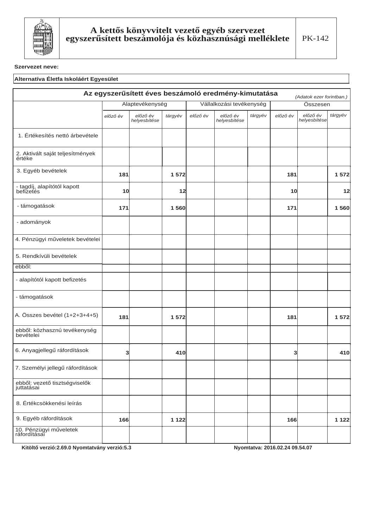

#### Szervezet neve:

### Alternatíva Életfa Iskoláért Egyesület

| Az egyszerűsített éves beszámoló eredmény-kimutatása<br>(Adatok ezer forintban.) |                 |                          |         |          |                          |         |          |                          |         |
|----------------------------------------------------------------------------------|-----------------|--------------------------|---------|----------|--------------------------|---------|----------|--------------------------|---------|
|                                                                                  | Alaptevékenység |                          |         |          | Vállalkozási tevékenység |         | Összesen |                          |         |
|                                                                                  | előző év        | előző év<br>helyesbítése | tárgyév | előző év | előző év<br>helyesbítése | tárgyév | előző év | előző év<br>helyesbítése | tárgyév |
| 1. Értékesítés nettó árbevétele                                                  |                 |                          |         |          |                          |         |          |                          |         |
| 2. Aktivált saját teljesítmények<br>értéke                                       |                 |                          |         |          |                          |         |          |                          |         |
| 3. Egyéb bevételek                                                               | 181             |                          | 1572    |          |                          |         | 181      |                          | 1572    |
| - tagdíj, alapítótól kapott<br>befizetés                                         | 10              |                          | 12      |          |                          |         | 10       |                          | 12      |
| - támogatások                                                                    | 171             |                          | 1560    |          |                          |         | 171      |                          | 1560    |
| - adományok                                                                      |                 |                          |         |          |                          |         |          |                          |         |
| 4. Pénzügyi műveletek bevételei                                                  |                 |                          |         |          |                          |         |          |                          |         |
| 5. Rendkívüli bevételek                                                          |                 |                          |         |          |                          |         |          |                          |         |
| ebből:                                                                           |                 |                          |         |          |                          |         |          |                          |         |
| - alapítótól kapott befizetés                                                    |                 |                          |         |          |                          |         |          |                          |         |
| - támogatások                                                                    |                 |                          |         |          |                          |         |          |                          |         |
| A. Összes bevétel (1+2+3+4+5)                                                    | 181             |                          | 1572    |          |                          |         | 181      |                          | 1572    |
| ebből: közhasznú tevékenység<br>bevételei                                        |                 |                          |         |          |                          |         |          |                          |         |
| 6. Anyagjellegű ráfordítások                                                     | 3               |                          | 410     |          |                          |         | З        |                          | 410     |
| 7. Személyi jellegű ráfordítások                                                 |                 |                          |         |          |                          |         |          |                          |         |
| ebből: vezető tisztségviselők<br>juttatásai                                      |                 |                          |         |          |                          |         |          |                          |         |
| 8. Értékcsökkenési leírás                                                        |                 |                          |         |          |                          |         |          |                          |         |
| 9. Egyéb ráfordítások                                                            | 166             |                          | 1 1 2 2 |          |                          |         | 166      |                          | 1 1 2 2 |
| 10. Pénzügyi műveletek<br>ráfordításai                                           |                 |                          |         |          |                          |         |          |                          |         |

Kitöltő verzió: 2.69.0 Nyomtatvány verzió: 5.3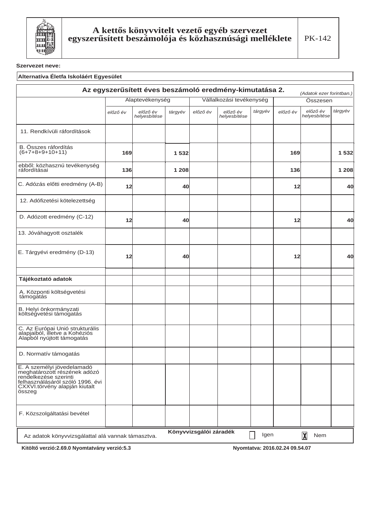

#### Szervezet neve:

#### Alternatíva Életfa Iskoláért Egyesület

|                                                                                                                                                                    |                 |                          |         |                        | Az egyszerűsített éves beszámoló eredmény-kimutatása 2. |         |          | (Adatok ezer forintban.)       |         |  |
|--------------------------------------------------------------------------------------------------------------------------------------------------------------------|-----------------|--------------------------|---------|------------------------|---------------------------------------------------------|---------|----------|--------------------------------|---------|--|
|                                                                                                                                                                    | Alaptevékenység |                          |         |                        | Vállalkozási tevékenység                                |         |          | Összesen                       |         |  |
|                                                                                                                                                                    | előző év        | előző év<br>helyesbítése | tárgyév | előző év               | előző év<br>helyesbítése                                | tárgyév | előző év | előző év<br>helyesbítése       | tárgyév |  |
| 11. Rendkívüli ráfordítások                                                                                                                                        |                 |                          |         |                        |                                                         |         |          |                                |         |  |
| B. Összes ráfordítás<br>$(6+7+8+9+10+11)$                                                                                                                          | 169             |                          | 1532    |                        |                                                         |         | 169      |                                | 1 532   |  |
| ebből: közhasznú tevékenység<br>ráfordításai                                                                                                                       | 136             |                          | 1 2 0 8 |                        |                                                         |         | 136      |                                | 1 208   |  |
| C. Adózás előtti eredmény (A-B)                                                                                                                                    | 12              |                          | 40      |                        |                                                         |         | 12       |                                | 40      |  |
| 12. Adófizetési kötelezettség                                                                                                                                      |                 |                          |         |                        |                                                         |         |          |                                |         |  |
| D. Adózott eredmény (C-12)                                                                                                                                         | 12              |                          | 40      |                        |                                                         |         | 12       |                                | 40      |  |
| 13. Jóváhagyott osztalék                                                                                                                                           |                 |                          |         |                        |                                                         |         |          |                                |         |  |
| E. Tárgyévi eredmény (D-13)                                                                                                                                        | 12              |                          | 40      |                        |                                                         |         | 12       |                                | 40      |  |
| Tájékoztató adatok                                                                                                                                                 |                 |                          |         |                        |                                                         |         |          |                                |         |  |
| A. Központi költségvetési<br>támogatás                                                                                                                             |                 |                          |         |                        |                                                         |         |          |                                |         |  |
| B. Helyi önkormányzati<br>költségvetési támogatás                                                                                                                  |                 |                          |         |                        |                                                         |         |          |                                |         |  |
| C. Az Európai Unió strukturális<br>alapjaiból, illetve a Kohéziós<br>Alapból nyújtott támogatás                                                                    |                 |                          |         |                        |                                                         |         |          |                                |         |  |
| D. Normatív támogatás                                                                                                                                              |                 |                          |         |                        |                                                         |         |          |                                |         |  |
| E. A személyi jövedelamadó<br>meghatározott részének adózó<br>rendelkezése szerinti<br>felhasználásáról szóló 1996. évi<br>CXXVI.törvény alapján kiutalt<br>összeg |                 |                          |         |                        |                                                         |         |          |                                |         |  |
| F. Közszolgáltatási bevétel                                                                                                                                        |                 |                          |         |                        |                                                         |         |          |                                |         |  |
| Az adatok könyvvizsgálattal alá vannak támasztva.                                                                                                                  |                 |                          |         | Könyvvizsgálói záradék |                                                         | Igen    |          | $\overline{\mathbf{X}}$<br>Nem |         |  |

Kitöltő verzió: 2.69.0 Nyomtatvány verzió: 5.3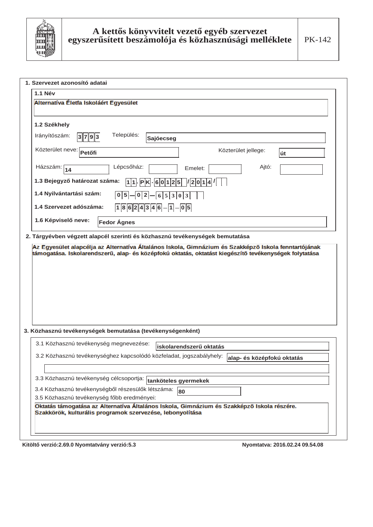

| Település:<br>3 7 9 3<br>Sajóecseg<br>Közterület jellege:<br>út<br>Lépcsőház:<br>Ajtó:<br>Emelet:<br>$ 6 0 1 2 5 $ $ 1 2 0 1 4$<br>1 1. P K<br> 5 3 0 3<br> 5 <br>$\bf{0}$<br>$ 2\rangle$<br>0<br>6 <br>$18624346-1-05$<br><b>Fedor Ágnes</b><br>iskolarendszerű oktatás<br>alap- és középfokú oktatás                                                                                      |               | Alternatíva Életfa Iskoláért Egyesület |  |  |  |
|---------------------------------------------------------------------------------------------------------------------------------------------------------------------------------------------------------------------------------------------------------------------------------------------------------------------------------------------------------------------------------------------|---------------|----------------------------------------|--|--|--|
|                                                                                                                                                                                                                                                                                                                                                                                             |               |                                        |  |  |  |
|                                                                                                                                                                                                                                                                                                                                                                                             | 1.2 Székhely  |                                        |  |  |  |
| Közterület neve: Petőfi<br>Házszám: $\boxed{14}$<br>1.3 Bejegyző határozat száma:<br>1.4 Nyilvántartási szám:<br>1.4 Szervezet adószáma:                                                                                                                                                                                                                                                    | Irányítószám: |                                        |  |  |  |
|                                                                                                                                                                                                                                                                                                                                                                                             |               |                                        |  |  |  |
|                                                                                                                                                                                                                                                                                                                                                                                             |               |                                        |  |  |  |
|                                                                                                                                                                                                                                                                                                                                                                                             |               |                                        |  |  |  |
|                                                                                                                                                                                                                                                                                                                                                                                             |               |                                        |  |  |  |
| 1.6 Képviselő neve:<br>2. Tárgyévben végzett alapcél szerinti és közhasznú tevékenységek bemutatása                                                                                                                                                                                                                                                                                         |               |                                        |  |  |  |
|                                                                                                                                                                                                                                                                                                                                                                                             |               |                                        |  |  |  |
| Az Egyesület alapcélja az Alternatíva Általános Iskola, Gimnázium és Szakképző Iskola fenntartójának<br>támogatása. Iskolarendszerű, alap- és középfokú oktatás, oktatást kiegészítő tevékenységek folytatása<br>3. Közhasznú tevékenységek bemutatása (tevékenységenként)<br>3.1 Közhasznú tevékenység megnevezése:<br>3.2 Közhasznú tevékenységhez kapcsolódó közfeladat, jogszabályhely: |               |                                        |  |  |  |
|                                                                                                                                                                                                                                                                                                                                                                                             |               |                                        |  |  |  |
|                                                                                                                                                                                                                                                                                                                                                                                             |               |                                        |  |  |  |
|                                                                                                                                                                                                                                                                                                                                                                                             |               |                                        |  |  |  |
| 3.3 Közhasznú tevékenység célcsoportja: tanköteles gyermekek<br>3.4 Közhasznú tevékenységből részesülők létszáma: 80<br>3.5 Közhasznú tevékenység főbb eredményei:                                                                                                                                                                                                                          |               |                                        |  |  |  |
|                                                                                                                                                                                                                                                                                                                                                                                             |               |                                        |  |  |  |
|                                                                                                                                                                                                                                                                                                                                                                                             |               |                                        |  |  |  |
|                                                                                                                                                                                                                                                                                                                                                                                             |               |                                        |  |  |  |
| Oktatás támogatása az Alternatíva Általános Iskola, Gimnázium és Szakképző Iskola részére.<br>Szakkörök, kulturális programok szervezése, lebonyolítása                                                                                                                                                                                                                                     |               |                                        |  |  |  |

Kitöltő verzió:2.69.0 Nyomtatvány verzió:5.3 **biztival algorithmical estimatura** 12016.02.24 09.54.08